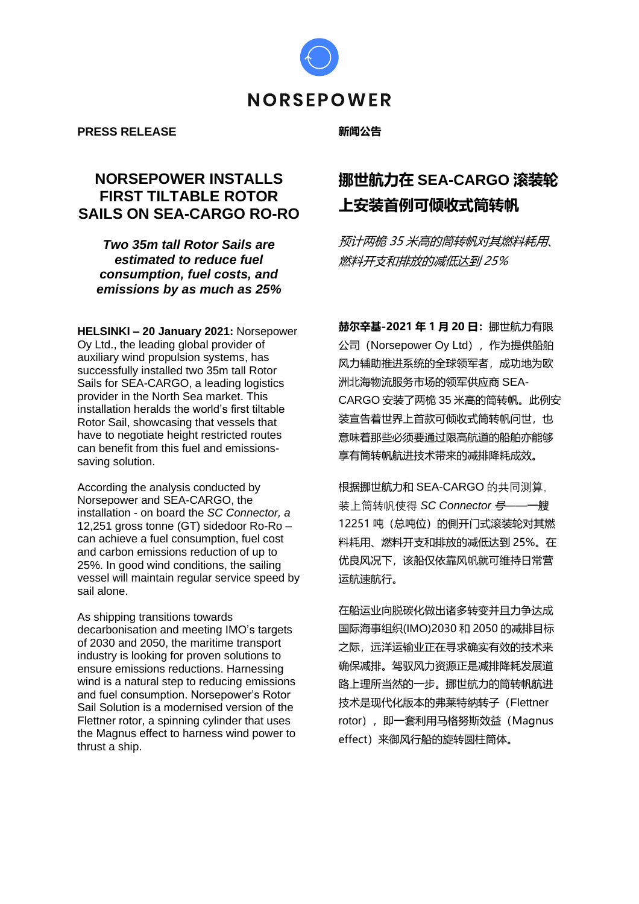

#### **PRESS RELEASE**

### **新闻公告**

## **NORSEPOWER INSTALLS FIRST TILTABLE ROTOR SAILS ON SEA-CARGO RO-RO**

*Two 35m tall Rotor Sails are estimated to reduce fuel consumption, fuel costs, and emissions by as much as 25%*

**HELSINKI – 20 January 2021:** Norsepower Oy Ltd., the leading global provider of auxiliary wind propulsion systems, has successfully installed two 35m tall Rotor Sails for SEA-CARGO, a leading logistics provider in the North Sea market. This installation heralds the world's first tiltable Rotor Sail, showcasing that vessels that have to negotiate height restricted routes can benefit from this fuel and emissionssaving solution.

According the analysis conducted by Norsepower and SEA-CARGO, the installation - on board the *SC Connector, a*  12,251 gross tonne (GT) sidedoor Ro-Ro – can achieve a fuel consumption, fuel cost and carbon emissions reduction of up to 25%. In good wind conditions, the sailing vessel will maintain regular service speed by sail alone.

As shipping transitions towards decarbonisation and meeting IMO's targets of 2030 and 2050, the maritime transport industry is looking for proven solutions to ensure emissions reductions. Harnessing wind is a natural step to reducing emissions and fuel consumption. Norsepower's Rotor Sail Solution is a modernised version of the Flettner rotor, a spinning cylinder that uses the Magnus effect to harness wind power to thrust a ship.

# **挪世航力在 SEA-CARGO 滚装轮 上安装首例可倾收式筒转帆**

预计两桅 35 米高的筒转帆对其燃料耗用、 燃料开支和排放的减低达到 25%

**赫尔辛基-2021 年 1 月 20 日:**挪世航力有限 公司(Norsepower Oy Ltd), 作为提供船舶 风力辅助推进系统的全球领军者,成功地为欧 洲北海物流服务市场的领军供应商 SEA-CARGO 安装了两桅 35 米高的筒转帆。此例安 装宣告着世界上首款可倾收式筒转帆问世,也 意味着那些必须要通过限高航道的船舶亦能够 享有筒转帆航进技术带来的减排降耗成效。

根据挪世航力和 SEA-CARGO 的共同测算, 装上筒转帆使得 *SC Connector* 号——一艘 12251 吨 (总吨位) 的側开门式滚装轮对其燃 料耗用、燃料开支和排放的减低达到 25%。在 优良风况下,该船仅依靠风帆就可维持日常营 运航速航行。

在船运业向脱碳化做出诸多转变并且力争达成 国际海事组织(IMO)2030 和 2050 的减排目标 之际,远洋运输业正在寻求确实有效的技术来 确保减排。驾驭风力资源正是减排降耗发展道 路上理所当然的一步。挪世航力的筒转帆航进 技术是现代化版本的弗莱特纳转子(Flettner rotor), 即一套利用马格努斯效益 (Magnus effect)来御风行船的旋转圆柱筒体。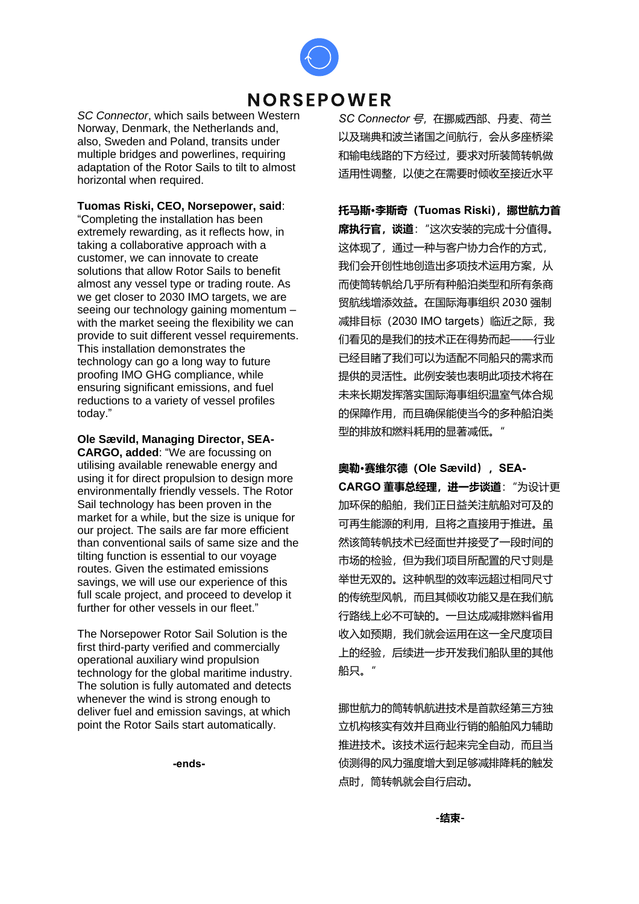

# **NORSEPOWER**

*SC Connector*, which sails between Western Norway, Denmark, the Netherlands and, also, Sweden and Poland, transits under multiple bridges and powerlines, requiring adaptation of the Rotor Sails to tilt to almost horizontal when required.

**Tuomas Riski, CEO, Norsepower, said**:

"Completing the installation has been extremely rewarding, as it reflects how, in taking a collaborative approach with a customer, we can innovate to create solutions that allow Rotor Sails to benefit almost any vessel type or trading route. As we get closer to 2030 IMO targets, we are seeing our technology gaining momentum – with the market seeing the flexibility we can provide to suit different vessel requirements. This installation demonstrates the technology can go a long way to future proofing IMO GHG compliance, while ensuring significant emissions, and fuel reductions to a variety of vessel profiles today."

**Ole Sævild, Managing Director, SEA-CARGO, added**: "We are focussing on utilising available renewable energy and using it for direct propulsion to design more environmentally friendly vessels. The Rotor Sail technology has been proven in the market for a while, but the size is unique for our project. The sails are far more efficient than conventional sails of same size and the tilting function is essential to our voyage routes. Given the estimated emissions savings, we will use our experience of this full scale project, and proceed to develop it further for other vessels in our fleet."

The Norsepower Rotor Sail Solution is the first third-party verified and commercially operational auxiliary wind propulsion technology for the global maritime industry. The solution is fully automated and detects whenever the wind is strong enough to deliver fuel and emission savings, at which point the Rotor Sails start automatically.

**-ends-**

*SC Connector* 号,在挪威西部、丹麦、荷兰 以及瑞典和波兰诸国之间航行,会从多座桥梁 和输电线路的下方经过,要求对所装筒转帆做 适用性调整,以使之在需要时倾收至接近水平

**托马斯·李斯奇(Tuomas Riski),挪世航力首 席执行官,谈道**:"这次安装的完成十分值得。 这体现了,通过一种与客户协力合作的方式, 我们会开创性地创造出多项技术运用方案,从 而使筒转帆给几乎所有种船泊类型和所有条商 贸航线增添效益。在国际海事组织 2030 强制 减排目标 (2030 IMO targets) 临近之际, 我 们看见的是我们的技术正在得势而起——行业 已经目睹了我们可以为适配不同船只的需求而 提供的灵活性。此例安装也表明此项技术将在 未来长期发挥落实国际海事组织温室气体合规 的保障作用,而且确保能使当今的多种船泊类 型的排放和燃料耗用的显著减低。"

**奥勒·赛维尔德(Ole Sævild),SEA-**

**CARGO 董事总经理,进一步谈道**:"为设计更 加环保的船舶,我们正日益关注航船对可及的 可再生能源的利用,且将之直接用于推进。虽 然该筒转帆技术已经面世并接受了一段时间的 市场的检验,但为我们项目所配置的尺寸则是 举世无双的。这种帆型的效率远超过相同尺寸 的传统型风帆,而且其倾收功能又是在我们航 行路线上必不可缺的。一旦达成减排燃料省用 收入如预期,我们就会运用在这一全尺度项目 上的经验,后续进一步开发我们船队里的其他 船只。"

挪世航力的筒转帆航进技术是首款经第三方独 立机构核实有效并且商业行销的船舶风力辅助 推进技术。该技术运行起来完全自动,而且当 侦测得的风力强度增大到足够减排降耗的触发 点时,筒转帆就会自行启动。